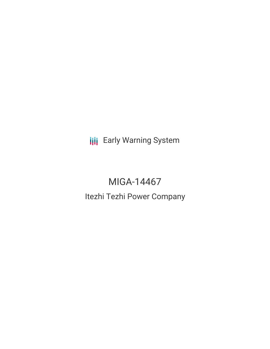**III** Early Warning System

# MIGA-14467 Itezhi Tezhi Power Company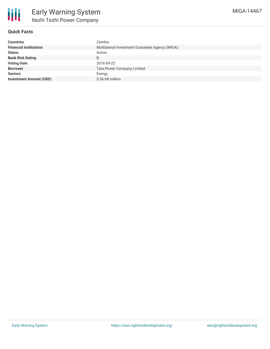

## **Quick Facts**

| <b>Countries</b>               | Zambia                                          |
|--------------------------------|-------------------------------------------------|
| <b>Financial Institutions</b>  | Multilateral Investment Guarantee Agency (MIGA) |
| <b>Status</b>                  | Active                                          |
| <b>Bank Risk Rating</b>        | B                                               |
| <b>Voting Date</b>             | 2016-09-22                                      |
| <b>Borrower</b>                | <b>Tata Power Company Limited</b>               |
| <b>Sectors</b>                 | Energy                                          |
| <b>Investment Amount (USD)</b> | $$36.68$ million                                |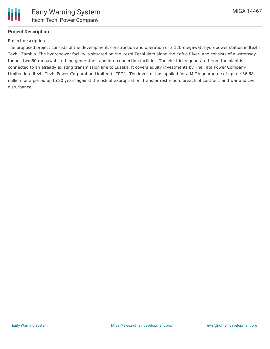

## **Project Description**

#### Project description

The proposed project consists of the development, construction and operation of a 120-megawatt hydropower station in Itezhi Tezhi, Zambia. The hydropower facility is situated on the Itezhi Tezhi dam along the Kafue River, and consists of a waterway tunnel, two 60-megawatt turbine generators, and interconnection facilities. The electricity generated from the plant is connected to an already existing transmission line to Lusaka. It covers equity investments by The Tata Power Company Limited into Itezhi Tezhi Power Corporation Limited ("ITPC"). The investor has applied for a MIGA guarantee of up to \$36.68 million for a period up to 20 years against the risk of expropriation; transfer restriction, breach of contract, and war and civil disturbance.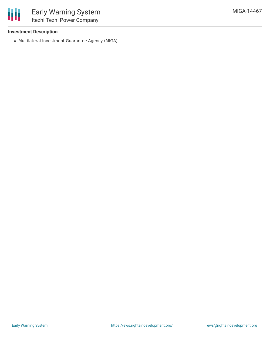

#### **Investment Description**

Multilateral Investment Guarantee Agency (MIGA)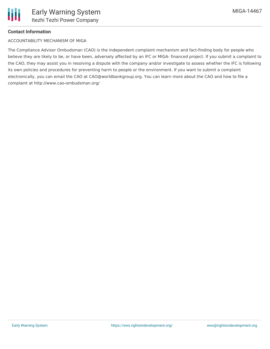## **Contact Information**

### ACCOUNTABILITY MECHANISM OF MIGA

The Compliance Advisor Ombudsman (CAO) is the independent complaint mechanism and fact-finding body for people who believe they are likely to be, or have been, adversely affected by an IFC or MIGA- financed project. If you submit a complaint to the CAO, they may assist you in resolving a dispute with the company and/or investigate to assess whether the IFC is following its own policies and procedures for preventing harm to people or the environment. If you want to submit a complaint electronically, you can email the CAO at CAO@worldbankgroup.org. You can learn more about the CAO and how to file a complaint at http://www.cao-ombudsman.org/